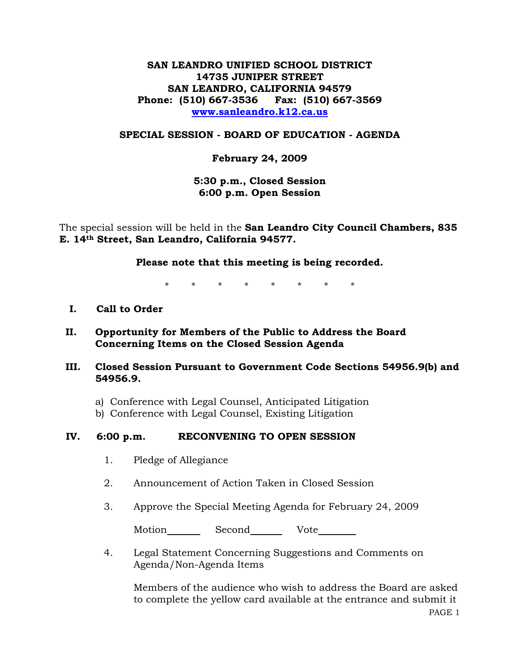# **SAN LEANDRO UNIFIED SCHOOL DISTRICT 14735 JUNIPER STREET SAN LEANDRO, CALIFORNIA 94579 Phone: (510) 667-3536 Fax: (510) 667-3569 www.sanleandro.k12.ca.us**

### **SPECIAL SESSION - BOARD OF EDUCATION - AGENDA**

### **February 24, 2009**

**5:30 p.m., Closed Session 6:00 p.m. Open Session** 

The special session will be held in the **San Leandro City Council Chambers, 835 E. 14th Street, San Leandro, California 94577.** 

**Please note that this meeting is being recorded.**

\* \* \* \* \* \* \* \*

- **I. Call to Order**
- **II. Opportunity for Members of the Public to Address the Board Concerning Items on the Closed Session Agenda**

### **III. Closed Session Pursuant to Government Code Sections 54956.9(b) and 54956.9.**

- a) Conference with Legal Counsel, Anticipated Litigation
- b) Conference with Legal Counsel, Existing Litigation

#### **IV. 6:00 p.m. RECONVENING TO OPEN SESSION**

- 1. Pledge of Allegiance
- 2. Announcement of Action Taken in Closed Session
- 3. Approve the Special Meeting Agenda for February 24, 2009

Motion Second Vote

4. Legal Statement Concerning Suggestions and Comments on Agenda/Non-Agenda Items

Members of the audience who wish to address the Board are asked to complete the yellow card available at the entrance and submit it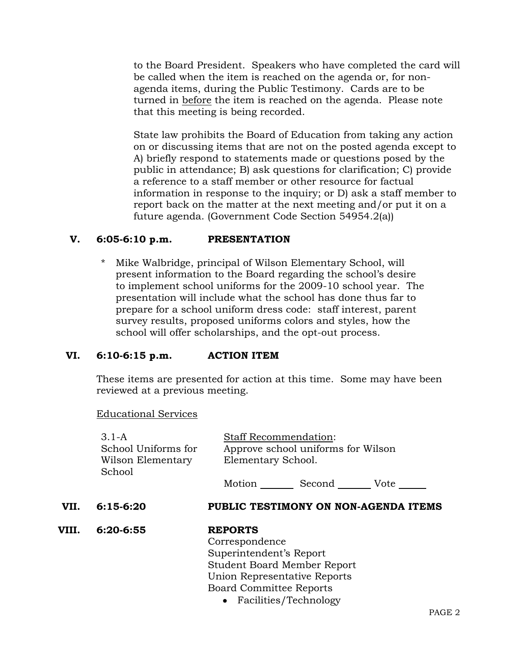to the Board President. Speakers who have completed the card will be called when the item is reached on the agenda or, for nonagenda items, during the Public Testimony. Cards are to be turned in before the item is reached on the agenda. Please note that this meeting is being recorded.

State law prohibits the Board of Education from taking any action on or discussing items that are not on the posted agenda except to A) briefly respond to statements made or questions posed by the public in attendance; B) ask questions for clarification; C) provide a reference to a staff member or other resource for factual information in response to the inquiry; or D) ask a staff member to report back on the matter at the next meeting and/or put it on a future agenda. (Government Code Section 54954.2(a))

### **V. 6:05-6:10 p.m. PRESENTATION**

Mike Walbridge, principal of Wilson Elementary School, will present information to the Board regarding the school's desire to implement school uniforms for the 2009-10 school year. The presentation will include what the school has done thus far to prepare for a school uniform dress code: staff interest, parent survey results, proposed uniforms colors and styles, how the school will offer scholarships, and the opt-out process.

# **VI. 6:10-6:15 p.m. ACTION ITEM**

These items are presented for action at this time. Some may have been reviewed at a previous meeting.

Educational Services

|       | $3.1-A$<br>School Uniforms for | <b>Staff Recommendation:</b><br>Approve school uniforms for Wilson<br>Elementary School. |  |  |
|-------|--------------------------------|------------------------------------------------------------------------------------------|--|--|
|       | Wilson Elementary<br>School    |                                                                                          |  |  |
|       |                                | Motion <u>__</u><br>Second Vote                                                          |  |  |
| VII.  | $6:15-6:20$                    | PUBLIC TESTIMONY ON NON-AGENDA ITEMS                                                     |  |  |
| VIII. | 6:20-6:55                      | <b>REPORTS</b>                                                                           |  |  |
|       |                                | Correspondence                                                                           |  |  |
|       |                                | Superintendent's Report                                                                  |  |  |
|       |                                | <b>Student Board Member Report</b>                                                       |  |  |
|       |                                | Union Representative Reports                                                             |  |  |
|       |                                | <b>Board Committee Reports</b>                                                           |  |  |
|       |                                | • Facilities/Technology                                                                  |  |  |